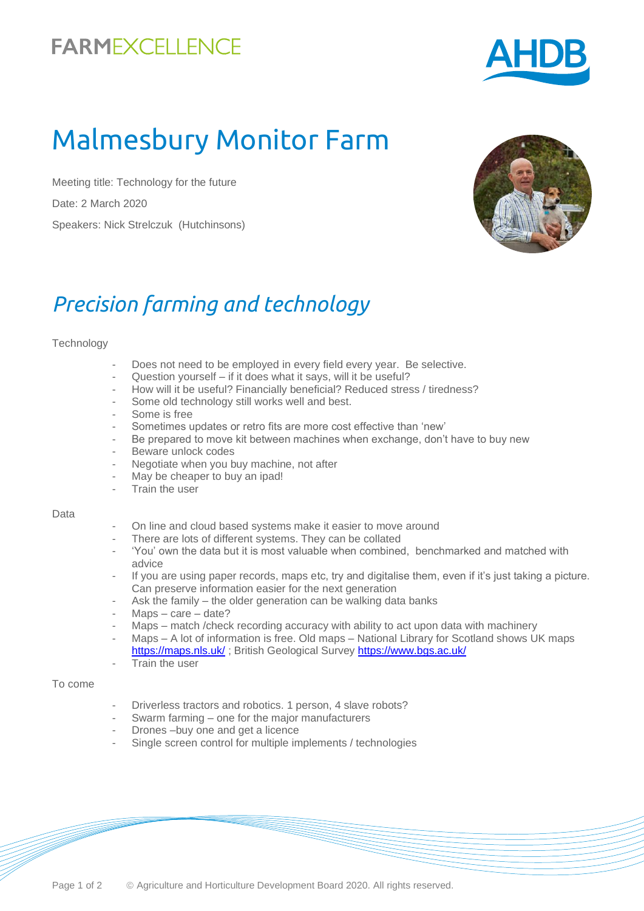# **FARMEXCELLENCE**



# Malmesbury Monitor Farm

Meeting title: Technology for the future Date: 2 March 2020 Speakers: Nick Strelczuk (Hutchinsons)



# *Precision farming and technology*

#### **Technology**

- Does not need to be employed in every field every year. Be selective.
- Question yourself if it does what it says, will it be useful?
- How will it be useful? Financially beneficial? Reduced stress / tiredness?
- Some old technology still works well and best.
- Some is free
- Sometimes updates or retro fits are more cost effective than 'new'
- Be prepared to move kit between machines when exchange, don't have to buy new
- Beware unlock codes
- Negotiate when you buy machine, not after
- May be cheaper to buy an ipad!
- Train the user

#### Data

- On line and cloud based systems make it easier to move around
- There are lots of different systems. They can be collated
- 'You' own the data but it is most valuable when combined, benchmarked and matched with advice
- If you are using paper records, maps etc, try and digitalise them, even if it's just taking a picture. Can preserve information easier for the next generation
- Ask the family the older generation can be walking data banks
- $Maps care date?$
- Maps match /check recording accuracy with ability to act upon data with machinery
- Maps A lot of information is free. Old maps National Library for Scotland shows UK maps <https://maps.nls.uk/>; British Geological Surve[y https://www.bgs.ac.uk/](https://www.bgs.ac.uk/)
- Train the user

#### To come

- Driverless tractors and robotics. 1 person, 4 slave robots?
- Swarm farming one for the major manufacturers
- Drones –buy one and get a licence
- Single screen control for multiple implements / technologies